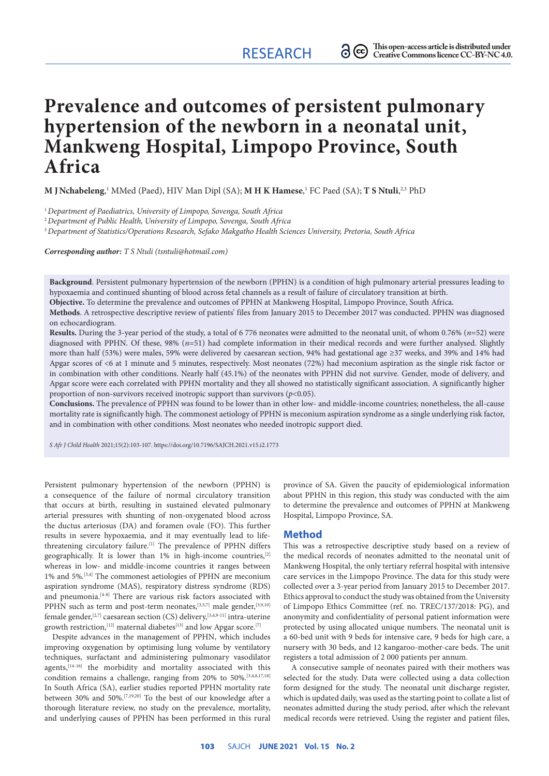# **Prevalence and outcomes of persistent pulmonary hypertension of the newborn in a neonatal unit, Mankweng Hospital, Limpopo Province, South Africa**

 $\bf{M}$  **J Nchabeleng,**  $^1$  MMed (Paed), HIV Man Dipl (SA);  $\bf{M}$  **H K Hamese,**  $^1$  FC Paed (SA);  $\bf{T}$  **S Ntuli,**  $^{2,3}$  PhD

<sup>1</sup>*Department of Paediatrics, University of Limpopo, Sovenga, South Africa* 

<sup>2</sup>*Department of Public Health, University of Limpopo, Sovenga, South Africa*

<sup>3</sup>*Department of Statistics/Operations Research, Sefako Makgatho Health Sciences University, Pretoria, South Africa*

*Corresponding author: T S Ntuli [\(tsntuli@hotmail.com](mailto:tsntuli@hotmail.com))*

**Background**. Persistent pulmonary hypertension of the newborn (PPHN) is a condition of high pulmonary arterial pressures leading to hypoxaemia and continued shunting of blood across fetal channels as a result of failure of circulatory transition at birth.

**Objective.** To determine the prevalence and outcomes of PPHN at Mankweng Hospital, Limpopo Province, South Africa.

**Methods**. A retrospective descriptive review of patients' files from January 2015 to December 2017 was conducted. PPHN was diagnosed on echocardiogram.

**Results.** During the 3-year period of the study, a total of 6 776 neonates were admitted to the neonatal unit, of whom 0.76% (*n*=52) were diagnosed with PPHN. Of these, 98% (*n*=51) had complete information in their medical records and were further analysed. Slightly more than half (53%) were males, 59% were delivered by caesarean section, 94% had gestational age ≥37 weeks, and 39% and 14% had Apgar scores of <6 at 1 minute and 5 minutes, respectively. Most neonates (72%) had meconium aspiration as the single risk factor or in combination with other conditions. Nearly half (45.1%) of the neonates with PPHN did not survive. Gender, mode of delivery, and Apgar score were each correlated with PPHN mortality and they all showed no statistically significant association. A significantly higher proportion of non-survivors received inotropic support than survivors (*p*<0.05).

**Conclusions.** The prevalence of PPHN was found to be lower than in other low- and middle-income countries; nonetheless, the all-cause mortality rate is significantly high. The commonest aetiology of PPHN is meconium aspiration syndrome as a single underlying risk factor, and in combination with other conditions. Most neonates who needed inotropic support died.

*S Afr J Child Health* 2021;15(2):103-107.<https://doi.org/10.7196/SAJCH.2021.v15.i2.1773>

Persistent pulmonary hypertension of the newborn (PPHN) is a consequence of the failure of normal circulatory transition that occurs at birth, resulting in sustained elevated pulmonary arterial pressures with shunting of non-oxygenated blood across the ductus arteriosus (DA) and foramen ovale (FO). This further results in severe hypoxaemia, and it may eventually lead to lifethreatening circulatory failure.[1] The prevalence of PPHN differs geographically. It is lower than 1% in high-income countries,[2] whereas in low- and middle-income countries it ranges between 1% and 5%.[3,4] The commonest aetiologies of PPHN are meconium aspiration syndrome (MAS), respiratory distress syndrome (RDS) and pneumonia.<sup>[4-8]</sup> There are various risk factors associated with PPHN such as term and post-term neonates,<sup>[3,5,7]</sup> male gender,<sup>[3,9,10]</sup> female gender,<sup>[2,7]</sup> caesarean section (CS) delivery,<sup>[3,4,9-11]</sup> [intra-uterine](https://www.sciencedirect.com/topics/medicine-and-dentistry/intrauterine-growth-retardation) [growth restriction,](https://www.sciencedirect.com/topics/medicine-and-dentistry/intrauterine-growth-retardation)[12] maternal diabetes[13] and low Apgar score.[7]

Despite advances in the management of PPHN, which includes improving oxygenation by optimising lung volume by ventilatory techniques, surfactant and administering pulmonary vasodilator agents,<sup>[14-16]</sup> the morbidity and mortality associated with this condition remains a challenge, ranging from 20% to 50%.<sup>[3,4,8,17,18]</sup> In South Africa (SA), earlier studies reported PPHN mortality rate between 30% and 50%.[7,19,20] To the best of our knowledge after a thorough literature review, no study on the prevalence, mortality, and underlying causes of PPHN has been performed in this rural province of SA. Given the paucity of epidemiological information about PPHN in this region, this study was conducted with the aim to determine the prevalence and outcomes of PPHN at Mankweng Hospital, Limpopo Province, SA.

#### **Method**

This was a retrospective descriptive study based on a review of the medical records of neonates admitted to the neonatal unit of Mankweng Hospital, the only tertiary referral hospital with intensive care services in the Limpopo Province. The data for this study were collected over a 3-year period from January 2015 to December 2017. Ethics approval to conduct the study was obtained from the University of Limpopo Ethics Committee (ref. no. TREC/137/2018: PG), and anonymity and confidentiality of personal patient information were protected by using allocated unique numbers. The neonatal unit is a 60-bed unit with 9 beds for intensive care, 9 beds for high care, a nursery with 30 beds, and 12 kangaroo-mother-care beds. The unit registers a total admission of 2 000 patients per annum.

A consecutive sample of neonates paired with their mothers was selected for the study. Data were collected using a data collection form designed for the study. The neonatal unit discharge register, which is updated daily, was used as the starting point to collate a list of neonates admitted during the study period, after which the relevant medical records were retrieved. Using the register and patient files,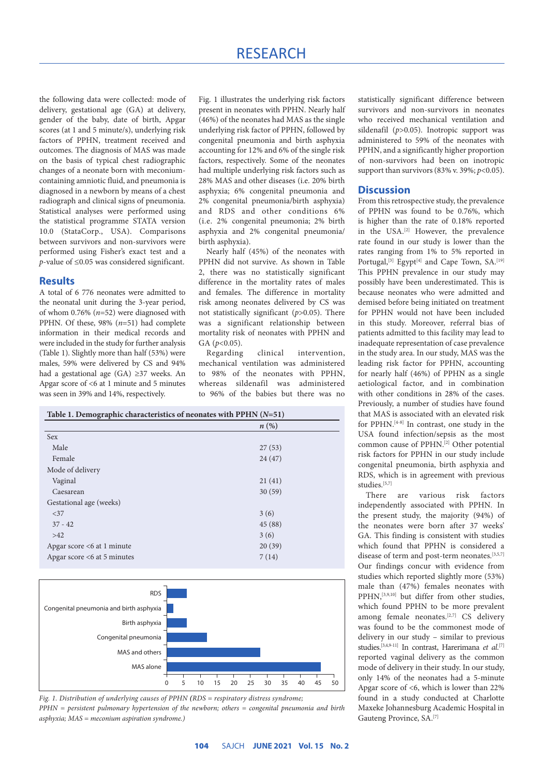the following data were collected: mode of delivery, gestational age (GA) at delivery, gender of the baby, date of birth, Apgar scores (at 1 and 5 minute/s), underlying risk factors of PPHN, treatment received and outcomes. The diagnosis of MAS was made on the basis of typical chest radiographic changes of a neonate born with meconiumcontaining amniotic fluid, and pneumonia is diagnosed in a newborn by means of a chest radiograph and clinical signs of pneumonia. Statistical analyses were performed using the statistical programme STATA version 10.0 (StataCorp., USA). Comparisons between survivors and non-survivors were performed using Fisher's exact test and a *p*-value of ≤0.05 was considered significant.

## **Results**

A total of 6 776 neonates were admitted to the neonatal unit during the 3-year period, of whom 0.76% (*n*=52) were diagnosed with PPHN. Of these, 98% (*n*=51) had complete information in their medical records and were included in the study for further analysis (Table 1). Slightly more than half (53%) were males, 59% were delivered by CS and 94% had a gestational age (GA) ≥37 weeks. An Apgar score of <6 at 1 minute and 5 minutes was seen in 39% and 14%, respectively.

Fig. 1 illustrates the underlying risk factors present in neonates with PPHN. Nearly half (46%) of the neonates had MAS as the single underlying risk factor of PPHN, followed by congenital pneumonia and birth asphyxia accounting for 12% and 6% of the single risk factors, respectively. Some of the neonates had multiple underlying risk factors such as 28% MAS and other diseases (i.e. 20% birth asphyxia; 6% congenital pneumonia and 2% congenital pneumonia/birth asphyxia) and RDS and other conditions 6% (i.e. 2% congenital pneumonia; 2% birth asphyxia and 2% congenital pneumonia/ birth asphyxia).

Nearly half (45%) of the neonates with PPHN did not survive. As shown in Table 2, there was no statistically significant difference in the mortality rates of males and females. The difference in mortality risk among neonates delivered by CS was not statistically significant (*p*>0.05). There was a significant relationship between mortality risk of neonates with PPHN and GA (*p*<0.05).

Regarding clinical intervention, mechanical ventilation was administered to 98% of the neonates with PPHN, whereas sildenafil was administered to 96% of the babies but there was no

|                               | $n(\%)$ |  |
|-------------------------------|---------|--|
|                               |         |  |
| <b>Sex</b>                    |         |  |
| Male                          | 27(53)  |  |
| Female                        | 24(47)  |  |
| Mode of delivery              |         |  |
| Vaginal                       | 21(41)  |  |
| Caesarean                     | 30(59)  |  |
| Gestational age (weeks)       |         |  |
| < 37                          | 3(6)    |  |
| $37 - 42$                     | 45(88)  |  |
| >42                           | 3(6)    |  |
| Apgar score <6 at 1 minute    | 20(39)  |  |
| Apgar score $<6$ at 5 minutes | 7(14)   |  |



*Fig. 1. Distribution of underlying causes of PPHN (RDS = respiratory distress syndrome;* 

*PPHN = persistent pulmonary hypertension of the newborn; others = congenital pneumonia and birth asphyxia; MAS = meconium aspiration syndrome.)*

statistically significant difference between survivors and non-survivors in neonates who received mechanical ventilation and sildenafil (*p*>0.05). Inotropic support was administered to 59% of the neonates with PPHN, and a significantly higher proportion of non-survivors had been on inotropic support than survivors (83% v. 39%; *p*<0.05).

# **Discussion**

From this retrospective study, the prevalence of PPHN was found to be 0.76%, which is higher than the rate of 0.18% reported in the USA.<sup>[2]</sup> However, the prevalence rate found in our study is lower than the rates ranging from 1% to 5% reported in Portugal,<sup>[3]</sup> Egypt<sup>[4]</sup> and Cape Town, SA.<sup>[19]</sup> This PPHN prevalence in our study may possibly have been underestimated. This is because neonates who were admitted and demised before being initiated on treatment for PPHN would not have been included in this study. Moreover, referral bias of patients admitted to this facility may lead to inadequate representation of case prevalence in the study area. In our study, MAS was the leading risk factor for PPHN, accounting for nearly half (46%) of PPHN as a single aetiological factor, and in combination with other conditions in 28% of the cases. Previously, a number of studies have found that MAS is associated with an elevated risk for PPHN.[4-8] In contrast, one study in the USA found infection/sepsis as the most common cause of PPHN.[2] Other potential risk factors for PPHN in our study include congenital pneumonia, birth asphyxia and RDS, which is in agreement with previous studies.<sup>[5,7]</sup>

There are various risk factors independently associated with PPHN. In the present study, the majority (94%) of the neonates were born after 37 weeks' GA. This finding is consistent with studies which found that PPHN is considered a disease of term and post-term neonates.<sup>[3,5,7]</sup> Our findings concur with evidence from studies which reported slightly more (53%) male than (47%) females neonates with PPHN,[3,9,10] but differ from other studies, which found PPHN to be more prevalent among female neonates.<sup>[2,7]</sup> CS delivery was found to be the commonest mode of delivery in our study – similar to previous studies.[3,4,9-11] In contrast, Harerimana *et al*. [7] reported vaginal delivery as the common mode of delivery in their study. In our study, only 14% of the neonates had a 5-minute Apgar score of <6, which is lower than 22% found in a study conducted at Charlotte Maxeke Johannesburg Academic Hospital in Gauteng Province, SA.[7]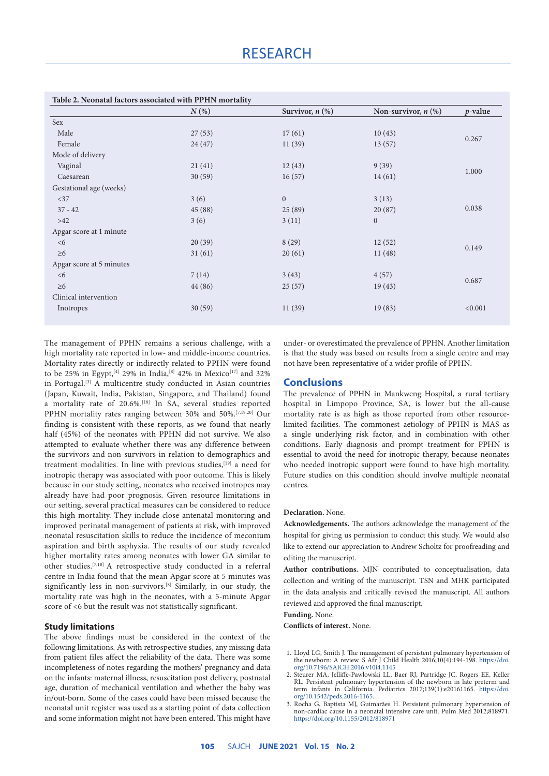|                          | $N(\%)$ | Survivor, $n$ $(\%)$ | Non-survivor, $n$ $(\%)$ | $p$ -value |
|--------------------------|---------|----------------------|--------------------------|------------|
| Sex                      |         |                      |                          |            |
| Male                     | 27(53)  | 17(61)               | 10(43)                   | 0.267      |
| Female                   | 24(47)  | 11(39)               | 13(57)                   |            |
| Mode of delivery         |         |                      |                          |            |
| Vaginal                  | 21(41)  | 12(43)               | 9(39)                    | 1.000      |
| Caesarean                | 30(59)  | 16(57)               | 14(61)                   |            |
| Gestational age (weeks)  |         |                      |                          |            |
| <37                      | 3(6)    | $\boldsymbol{0}$     | 3(13)                    |            |
| $37 - 42$                | 45 (88) | 25(89)               | 20(87)                   | 0.038      |
| $>42$                    | 3(6)    | 3(11)                | $\overline{0}$           |            |
| Apgar score at 1 minute  |         |                      |                          |            |
| <6                       | 20(39)  | 8(29)                | 12(52)                   | 0.149      |
| $\geq 6$                 | 31(61)  | 20(61)               | 11(48)                   |            |
| Apgar score at 5 minutes |         |                      |                          |            |
| <6                       | 7(14)   | 3(43)                | 4(57)                    | 0.687      |
| $\geq 6$                 | 44 (86) | 25(57)               | 19(43)                   |            |
| Clinical intervention    |         |                      |                          |            |
| Inotropes                | 30(59)  | 11(39)               | 19(83)                   | < 0.001    |

The management of PPHN remains a serious challenge, with a high mortality rate reported in low- and middle-income countries. Mortality rates directly or indirectly related to PPHN were found to be 25% in Egypt,<sup>[4]</sup> 29% in India,<sup>[8]</sup> 42% in Mexico<sup>[17]</sup> and 32% in Portugal.[3] A multicentre study conducted in Asian countries (Japan, Kuwait, India, Pakistan, Singapore, and Thailand) found a mortality rate of 20.6%.[18] In SA, several studies reported PPHN mortality rates ranging between 30% and 50%.[7,19,20] Our finding is consistent with these reports, as we found that nearly half (45%) of the neonates with PPHN did not survive. We also attempted to evaluate whether there was any difference between the survivors and non-survivors in relation to demographics and treatment modalities. In line with previous studies,<sup>[19]</sup> a need for inotropic therapy was associated with poor outcome. This is likely because in our study setting, neonates who received inotropes may already have had poor prognosis. Given resource limitations in our setting, several practical measures can be considered to reduce this high mortality. They include close antenatal monitoring and improved perinatal management of patients at risk, with improved neonatal resuscitation skills to reduce the incidence of meconium aspiration and birth asphyxia. The results of our study revealed higher mortality rates among neonates with lower GA similar to other studies.[7,18] A retrospective study conducted in a referral centre in India found that the mean Apgar score at 5 minutes was significantly less in non-survivors.<sup>[8]</sup> Similarly, in our study, the mortality rate was high in the neonates, with a 5-minute Apgar score of <6 but the result was not statistically significant.

### **Study limitations**

The above findings must be considered in the context of the following limitations. As with retrospective studies, any missing data from patient files affect the reliability of the data. There was some incompleteness of notes regarding the mothers' pregnancy and data on the infants: maternal illness, resuscitation post delivery, postnatal age, duration of mechanical ventilation and whether the baby was in/out-born. Some of the cases could have been missed because the neonatal unit register was used as a starting point of data collection and some information might not have been entered. This might have under- or overestimated the prevalence of PPHN. Another limitation is that the study was based on results from a single centre and may not have been representative of a wider profile of PPHN.

# **Conclusions**

The prevalence of PPHN in Mankweng Hospital, a rural tertiary hospital in Limpopo Province, SA, is lower but the all-cause mortality rate is as high as those reported from other resourcelimited facilities. The commonest aetiology of PPHN is MAS as a single underlying risk factor, and in combination with other conditions. Early diagnosis and prompt treatment for PPHN is essential to avoid the need for inotropic therapy, because neonates who needed inotropic support were found to have high mortality. Future studies on this condition should involve multiple neonatal centres.

#### **Declaration.** None.

**Acknowledgements.** The authors acknowledge the management of the hospital for giving us permission to conduct this study. We would also like to extend our appreciation to Andrew Scholtz for proofreading and editing the manuscript.

**Author contributions.** MJN contributed to conceptualisation, data collection and writing of the manuscript. TSN and MHK participated in the data analysis and critically revised the manuscript. All authors reviewed and approved the final manuscript.

**Funding.** None.

**Conflicts of interest.** None.

- 1. Lloyd LG, Smith J. The management of persistent pulmonary hypertension of the newborn: A review. S Afr J Child Health 2016;10(4):194-198. [https://doi.](https://doi.org/10.7196/SAJCH.2016.v10i4.1145) [org/10.7196/SAJCH.2016.v10i4.1145](https://doi.org/10.7196/SAJCH.2016.v10i4.1145)
- 2. [Steurer MA](https://www.ncbi.nlm.nih.gov/pubmed/?term=Steurer MA%5BAuthor%5D&cauthor=true&cauthor_uid=27940508), [Jelliffe-Pawlowski LL](https://www.ncbi.nlm.nih.gov/pubmed/?term=Jelliffe-Pawlowski LL%5BAuthor%5D&cauthor=true&cauthor_uid=27940508), [Baer RJ](https://www.ncbi.nlm.nih.gov/pubmed/?term=Baer RJ%5BAuthor%5D&cauthor=true&cauthor_uid=27940508), [Partridge JC,](https://www.ncbi.nlm.nih.gov/pubmed/?term=Partridge JC%5BAuthor%5D&cauthor=true&cauthor_uid=27940508) [Rogers EE](https://www.ncbi.nlm.nih.gov/pubmed/?term=Rogers EE%5BAuthor%5D&cauthor=true&cauthor_uid=27940508), [Keller](https://www.ncbi.nlm.nih.gov/pubmed/?term=Keller RL%5BAuthor%5D&cauthor=true&cauthor_uid=27940508)  [RL.](https://www.ncbi.nlm.nih.gov/pubmed/?term=Keller RL%5BAuthor%5D&cauthor=true&cauthor_uid=27940508) Persistent pulmonary hypertension of the newborn in late preterm and term infants in California. [Pediatrics](https://www.ncbi.nlm.nih.gov/pubmed/27940508) 2017;139(1):e20161165. [https://doi.](https://doi.org/10.1542/peds.2016-1165) [org/10.1542/peds.2016-1165](https://doi.org/10.1542/peds.2016-1165).
- 3. Rocha G, Baptista MJ, Guimarães H. Persistent pulmonary hypertension of non-cardiac cause in a neonatal intensive care unit. Pulm Med 2012;818971. <https://doi.org/10.1155/2012/818971>